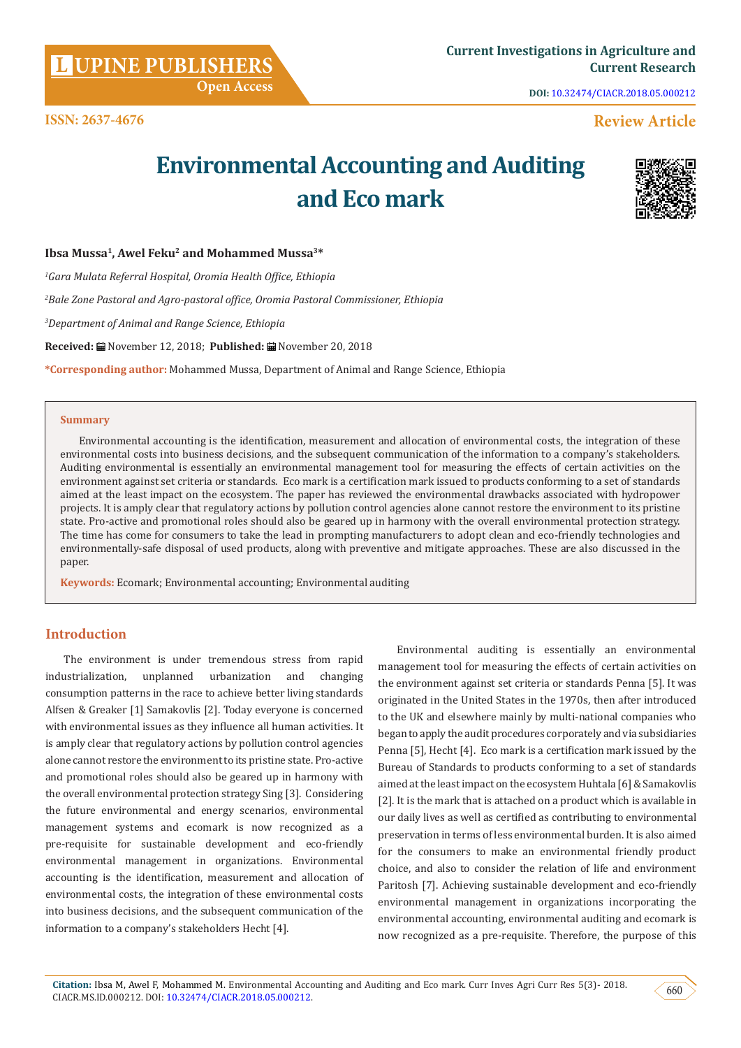**Citation:** Ibsa M, Awel F, Mohammed M. Environmental Accounting and Auditing and Eco mark. Curr Inves Agri Curr Res 5(3)- 2018. CIACR.MS.ID.000212. DOI: [10.32474/CIACR.2018.05.000212.](http://dx.doi.org/10.32474/CIACR.2018.05.000212)<br>CIACR.MS.ID.000212. DOI: 10.32474/CIACR.2018.05.000212.

**ISSN: 2637-4676**

**DOI:** [10.32474/CIACR.2018.05.000212](http://dx.doi.org/10.32474/CIACR.2018.05.000212)

## **Review Article**

# **Environmental Accounting and Auditing and Eco mark**



#### Ibsa Mussa<sup>1</sup>, Awel Feku<sup>2</sup> and Mohammed Mussa<sup>3\*</sup>

*1 Gara Mulata Referral Hospital, Oromia Health Office, Ethiopia*

*2 Bale Zone Pastoral and Agro-pastoral office, Oromia Pastoral Commissioner, Ethiopia*

 **Open Access**

*3 Department of Animal and Range Science, Ethiopia*

**Received:** November 12, 2018; **Published:** November 20, 2018

**\*Corresponding author:** Mohammed Mussa, Department of Animal and Range Science, Ethiopia

#### **Summary**

Environmental accounting is the identification, measurement and allocation of environmental costs, the integration of these environmental costs into business decisions, and the subsequent communication of the information to a company's stakeholders. Auditing environmental is essentially an environmental management tool for measuring the effects of certain activities on the environment against set criteria or standards. Eco mark is a certification mark issued to products conforming to a set of standards aimed at the least impact on the ecosystem. The paper has reviewed the environmental drawbacks associated with hydropower projects. It is amply clear that regulatory actions by pollution control agencies alone cannot restore the environment to its pristine state. Pro-active and promotional roles should also be geared up in harmony with the overall environmental protection strategy. The time has come for consumers to take the lead in prompting manufacturers to adopt clean and eco-friendly technologies and environmentally-safe disposal of used products, along with preventive and mitigate approaches. These are also discussed in the paper.

**Keywords:** Ecomark; Environmental accounting; Environmental auditing

### **Introduction**

The environment is under tremendous stress from rapid industrialization, unplanned urbanization and changing consumption patterns in the race to achieve better living standards Alfsen & Greaker [1] Samakovlis [2]. Today everyone is concerned with environmental issues as they influence all human activities. It is amply clear that regulatory actions by pollution control agencies alone cannot restore the environment to its pristine state. Pro-active and promotional roles should also be geared up in harmony with the overall environmental protection strategy Sing [3]. Considering the future environmental and energy scenarios, environmental management systems and ecomark is now recognized as a pre-requisite for sustainable development and eco-friendly environmental management in organizations. Environmental accounting is the identification, measurement and allocation of environmental costs, the integration of these environmental costs into business decisions, and the subsequent communication of the information to a company's stakeholders Hecht [4].

Environmental auditing is essentially an environmental management tool for measuring the effects of certain activities on the environment against set criteria or standards Penna [5]. It was originated in the United States in the 1970s, then after introduced to the UK and elsewhere mainly by multi-national companies who began to apply the audit procedures corporately and via subsidiaries Penna [5], Hecht [4]. Eco mark is a certification mark issued by the Bureau of Standards to products conforming to a set of standards aimed at the least impact on the ecosystem Huhtala [6] & Samakovlis [2]. It is the mark that is attached on a product which is available in our daily lives as well as certified as contributing to environmental preservation in terms of less environmental burden. It is also aimed for the consumers to make an environmental friendly product choice, and also to consider the relation of life and environment Paritosh [7]. Achieving sustainable development and eco-friendly environmental management in organizations incorporating the environmental accounting, environmental auditing and ecomark is now recognized as a pre-requisite. Therefore, the purpose of this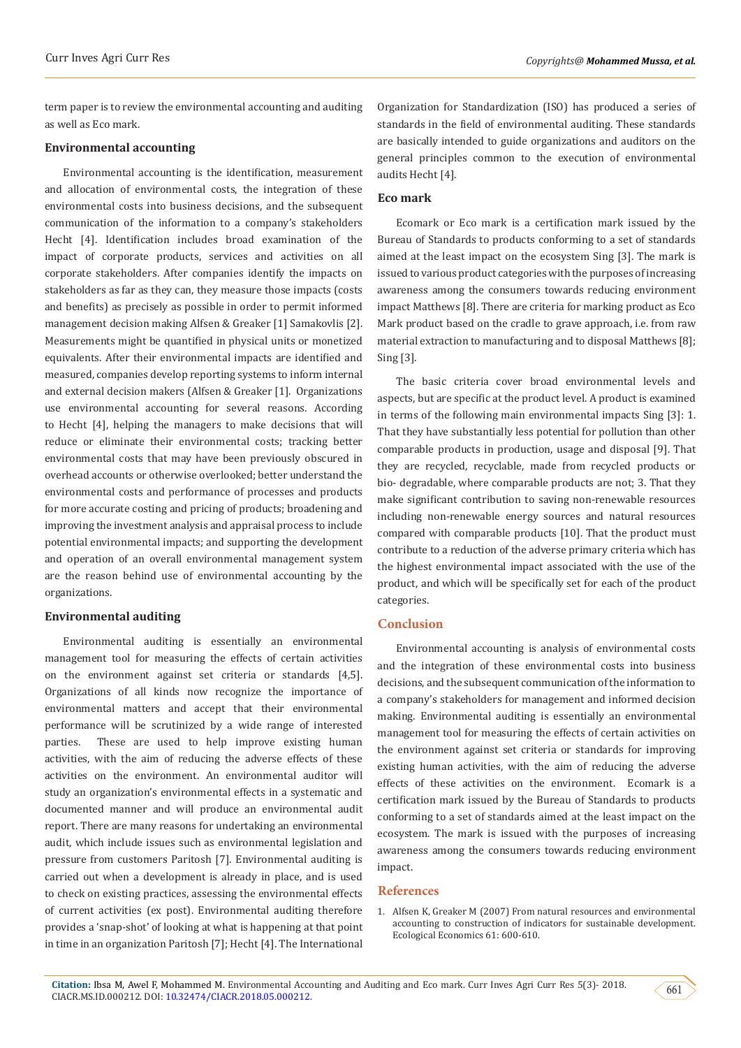term paper is to review the environmental accounting and auditing as well as Eco mark.

#### **Environmental accounting**

Environmental accounting is the identification, measurement and allocation of environmental costs, the integration of these environmental costs into business decisions, and the subsequent communication of the information to a company's stakeholders Hecht [4]. Identification includes broad examination of the impact of corporate products, services and activities on all corporate stakeholders. After companies identify the impacts on stakeholders as far as they can, they measure those impacts (costs and benefits) as precisely as possible in order to permit informed management decision making Alfsen & Greaker [1] Samakovlis [2]. Measurements might be quantified in physical units or monetized equivalents. After their environmental impacts are identified and measured, companies develop reporting systems to inform internal and external decision makers (Alfsen & Greaker [1]. Organizations use environmental accounting for several reasons. According to Hecht [4], helping the managers to make decisions that will reduce or eliminate their environmental costs; tracking better environmental costs that may have been previously obscured in overhead accounts or otherwise overlooked; better understand the environmental costs and performance of processes and products for more accurate costing and pricing of products; broadening and improving the investment analysis and appraisal process to include potential environmental impacts; and supporting the development and operation of an overall environmental management system are the reason behind use of environmental accounting by the organizations.

#### **Environmental auditing**

Environmental auditing is essentially an environmental management tool for measuring the effects of certain activities on the environment against set criteria or standards [4,5]. Organizations of all kinds now recognize the importance of environmental matters and accept that their environmental performance will be scrutinized by a wide range of interested parties. These are used to help improve existing human activities, with the aim of reducing the adverse effects of these activities on the environment. An environmental auditor will study an organization's environmental effects in a systematic and documented manner and will produce an environmental audit report. There are many reasons for undertaking an environmental audit, which include issues such as environmental legislation and pressure from customers Paritosh [7]. Environmental auditing is carried out when a development is already in place, and is used to check on existing practices, assessing the environmental effects of current activities (ex post). Environmental auditing therefore provides a 'snap-shot' of looking at what is happening at that point in time in an organization Paritosh [7]; Hecht [4]. The International Organization for Standardization (ISO) has produced a series of standards in the field of environmental auditing. These standards are basically intended to guide organizations and auditors on the general principles common to the execution of environmental audits Hecht [4].

#### **Eco mark**

Ecomark or Eco mark is a certification mark issued by the Bureau of Standards to products conforming to a set of standards aimed at the least impact on the ecosystem Sing [3]. The mark is issued to various product categories with the purposes of increasing awareness among the consumers towards reducing environment impact Matthews [8]. There are criteria for marking product as Eco Mark product based on the cradle to grave approach, i.e. from raw material extraction to manufacturing and to disposal Matthews [8]; Sing [3].

The basic criteria cover broad environmental levels and aspects, but are specific at the product level. A product is examined in terms of the following main environmental impacts Sing [3]: 1. That they have substantially less potential for pollution than other comparable products in production, usage and disposal [9]. That they are recycled, recyclable, made from recycled products or bio- degradable, where comparable products are not; 3. That they make significant contribution to saving non-renewable resources including non-renewable energy sources and natural resources compared with comparable products [10]. That the product must contribute to a reduction of the adverse primary criteria which has the highest environmental impact associated with the use of the product, and which will be specifically set for each of the product categories.

#### **Conclusion**

Environmental accounting is analysis of environmental costs and the integration of these environmental costs into business decisions, and the subsequent communication of the information to a company's stakeholders for management and informed decision making. Environmental auditing is essentially an environmental management tool for measuring the effects of certain activities on the environment against set criteria or standards for improving existing human activities, with the aim of reducing the adverse effects of these activities on the environment. Ecomark is a certification mark issued by the Bureau of Standards to products conforming to a set of standards aimed at the least impact on the ecosystem. The mark is issued with the purposes of increasing awareness among the consumers towards reducing environment impact.

#### **References**

1. [Alfsen K, Greaker M \(2007\) From natural resources and environmental](https://econpapers.repec.org/article/eeeecolec/v_3a61_3ay_3a2007_3ai_3a4_3ap_3a600-610.htm) [accounting to construction of indicators for sustainable development.](https://econpapers.repec.org/article/eeeecolec/v_3a61_3ay_3a2007_3ai_3a4_3ap_3a600-610.htm) [Ecological Economics 61: 600-610.](https://econpapers.repec.org/article/eeeecolec/v_3a61_3ay_3a2007_3ai_3a4_3ap_3a600-610.htm)